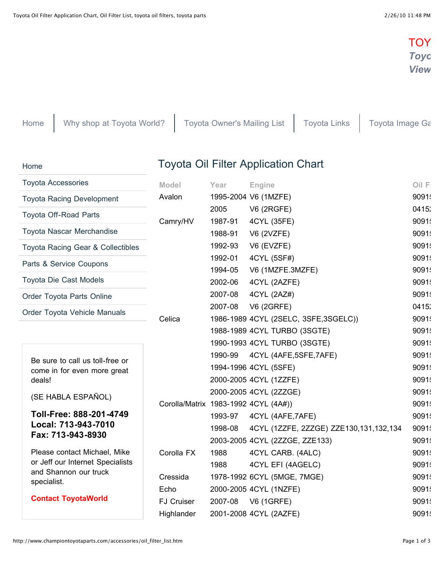## **TOY** *[Toyo](http://www.trademotion.com/partlocator/index.cfm?siteid=213747)ta Parts & Accessories [View](http://www.championtoyotaparts.com/specials/specials.htm)*

[Home](http://www.championtoyotaparts.com/) [Why shop at Toyota World?](http://www.championtoyotaparts.com/advantages.html) [Toyota Owner's Mailing List](http://www.championtoyotaparts.com/mailinglist.html) [Toyota Links](http://www.championtoyotaparts.com/links.htm) [Toyota Image Ga](http://www.championtoyotaparts.com/uploads/imagegallary.html)

[Home](http://www.championtoyotaparts.com/)

## Toyota Oil Filter Application Chart

| <b>Toyota Accessories</b><br><b>Toyota Racing Development</b><br><b>Toyota Off-Road Parts</b><br>Toyota Nascar Merchandise<br><b>Toyota Racing Gear &amp; Collectibles</b><br>Parts & Service Coupons |                                                                                                                                        | <b>Model</b>                         | Year    | Engine                                 | Oil F |
|-------------------------------------------------------------------------------------------------------------------------------------------------------------------------------------------------------|----------------------------------------------------------------------------------------------------------------------------------------|--------------------------------------|---------|----------------------------------------|-------|
|                                                                                                                                                                                                       |                                                                                                                                        | Avalon<br>Camry/HV                   |         | 1995-2004 V6 (1MZFE)                   | 9091! |
|                                                                                                                                                                                                       |                                                                                                                                        |                                      | 2005    | <b>V6 (2RGFE)</b>                      | 0415: |
|                                                                                                                                                                                                       |                                                                                                                                        |                                      | 1987-91 | 4CYL (35FE)                            | 9091  |
|                                                                                                                                                                                                       |                                                                                                                                        |                                      | 1988-91 | <b>V6 (2VZFE)</b>                      | 9091! |
|                                                                                                                                                                                                       |                                                                                                                                        |                                      | 1992-93 | V6 (EVZFE)                             | 9091  |
|                                                                                                                                                                                                       |                                                                                                                                        |                                      | 1992-01 | 4CYL (5SF#)                            | 9091  |
|                                                                                                                                                                                                       |                                                                                                                                        |                                      | 1994-05 | V6 (1MZFE.3MZFE)                       | 9091! |
|                                                                                                                                                                                                       | <b>Toyota Die Cast Models</b>                                                                                                          |                                      | 2002-06 | 4CYL (2AZFE)                           | 9091  |
|                                                                                                                                                                                                       | Order Toyota Parts Online                                                                                                              |                                      | 2007-08 | 4CYL (2AZ#)                            | 9091! |
| Order Toyota Vehicle Manuals                                                                                                                                                                          |                                                                                                                                        | Celica                               | 2007-08 | <b>V6 (2GRFE)</b>                      | 0415: |
|                                                                                                                                                                                                       |                                                                                                                                        |                                      |         | 1986-1989 4CYL (2SELC, 3SFE, 3SGELC))  | 9091  |
|                                                                                                                                                                                                       |                                                                                                                                        |                                      |         | 1988-1989 4CYL TURBO (3SGTE)           | 9091! |
|                                                                                                                                                                                                       |                                                                                                                                        |                                      |         | 1990-1993 4CYL TURBO (3SGTE)           | 9091! |
|                                                                                                                                                                                                       | Be sure to call us toll-free or                                                                                                        |                                      | 1990-99 | 4CYL (4AFE,5SFE,7AFE)                  | 9091  |
|                                                                                                                                                                                                       | come in for even more great                                                                                                            |                                      |         | 1994-1996 4CYL (5SFE)                  | 9091! |
|                                                                                                                                                                                                       | deals!                                                                                                                                 |                                      |         | 2000-2005 4CYL (1ZZFE)                 | 9091! |
|                                                                                                                                                                                                       | (SE HABLA ESPAÑOL)                                                                                                                     |                                      |         | 2000-2005 4CYL (2ZZGE)                 | 9091  |
|                                                                                                                                                                                                       |                                                                                                                                        | Corolla/Matrix 1983-1992 4CYL (4A#)) |         |                                        | 9091! |
|                                                                                                                                                                                                       | Toll-Free: 888-201-4749<br>Local: 713-943-7010<br>Fax: 713-943-8930                                                                    |                                      | 1993-97 | 4CYL (4AFE, 7AFE)                      | 9091! |
|                                                                                                                                                                                                       |                                                                                                                                        |                                      | 1998-08 | 4CYL (1ZZFE, 2ZZGE) ZZE130,131,132,134 | 9091  |
|                                                                                                                                                                                                       |                                                                                                                                        |                                      |         | 2003-2005 4CYL (2ZZGE, ZZE133)         | 9091  |
|                                                                                                                                                                                                       | Please contact Michael, Mike<br>or Jeff our Internet Specialists<br>and Shannon our truck<br>specialist.<br><b>Contact ToyotaWorld</b> | Corolla FX                           | 1988    | 4CYL CARB. (4ALC)                      | 9091! |
|                                                                                                                                                                                                       |                                                                                                                                        |                                      | 1988    | 4CYL EFI (4AGELC)                      | 9091  |
|                                                                                                                                                                                                       |                                                                                                                                        | Cressida                             |         | 1978-1992 6CYL (5MGE, 7MGE)            | 9091! |
|                                                                                                                                                                                                       |                                                                                                                                        | Echo                                 |         | 2000-2005 4CYL (1NZFE)                 | 9091  |
|                                                                                                                                                                                                       |                                                                                                                                        | <b>FJ Cruiser</b>                    | 2007-08 | <b>V6 (1GRFE)</b>                      | 9091  |
|                                                                                                                                                                                                       |                                                                                                                                        | Highlander                           |         | 2001-2008 4CYL (2AZFE)                 | 9091  |
|                                                                                                                                                                                                       |                                                                                                                                        |                                      |         |                                        |       |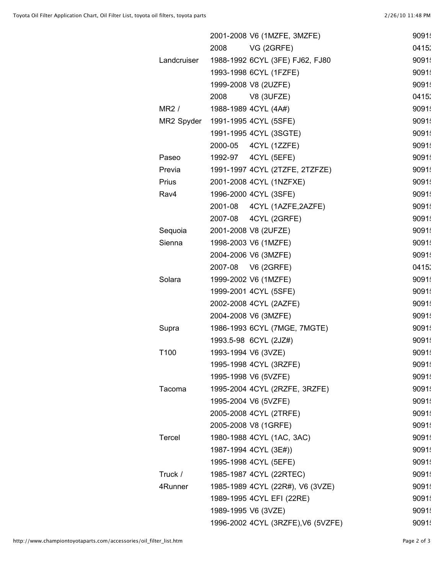|              |                     | 2001-2008 V6 (1MZFE, 3MZFE)        | 9091  |
|--------------|---------------------|------------------------------------|-------|
|              | 2008                | VG (2GRFE)                         | 0415  |
| Landcruiser  |                     | 1988-1992 6CYL (3FE) FJ62, FJ80    | 9091  |
|              |                     | 1993-1998 6CYL (1FZFE)             | 9091  |
|              |                     | 1999-2008 V8 (2UZFE)               | 9091  |
|              | 2008                | <b>V8 (3UFZE)</b>                  | 0415: |
| MR2/         |                     | 1988-1989 4CYL (4A#)               | 9091  |
| MR2 Spyder   |                     | 1991-1995 4CYL (5SFE)              | 9091  |
|              |                     | 1991-1995 4CYL (3SGTE)             | 9091  |
|              | 2000-05             | 4CYL (1ZZFE)                       | 9091  |
| Paseo        |                     | 1992-97   4CYL (5EFE)              | 9091  |
| Previa       |                     | 1991-1997 4CYL (2TZFE, 2TZFZE)     | 9091  |
| <b>Prius</b> |                     | 2001-2008 4CYL (1NZFXE)            | 9091  |
| Rav4         |                     | 1996-2000 4CYL (3SFE)              | 9091  |
|              | 2001-08             | 4CYL (1AZFE,2AZFE)                 | 9091  |
|              |                     | 2007-08 4CYL (2GRFE)               | 9091  |
| Sequoia      |                     | 2001-2008 V8 (2UFZE)               | 9091  |
| Sienna       |                     | 1998-2003 V6 (1MZFE)               | 9091  |
|              |                     | 2004-2006 V6 (3MZFE)               | 9091  |
|              | 2007-08             | V6 (2GRFE)                         | 0415: |
| Solara       |                     | 1999-2002 V6 (1MZFE)               | 9091  |
|              |                     | 1999-2001 4CYL (5SFE)              | 9091  |
|              |                     | 2002-2008 4CYL (2AZFE)             | 9091  |
|              |                     | 2004-2008 V6 (3MZFE)               | 9091  |
| Supra        |                     | 1986-1993 6CYL (7MGE, 7MGTE)       | 9091  |
|              |                     | 1993.5-98 6CYL (2JZ#)              | 9091  |
| T100         |                     | 1993-1994 V6 (3VZE)                | 9091  |
|              |                     | 1995-1998 4CYL (3RZFE)             | 9091  |
|              |                     | 1995-1998 V6 (5VZFE)               | 9091  |
| Tacoma       |                     | 1995-2004 4CYL (2RZFE, 3RZFE)      | 9091  |
|              |                     | 1995-2004 V6 (5VZFE)               | 9091  |
|              |                     | 2005-2008 4CYL (2TRFE)             | 9091  |
|              |                     | 2005-2008 V8 (1GRFE)               | 9091  |
| Tercel       |                     | 1980-1988 4CYL (1AC, 3AC)          | 9091  |
|              |                     | 1987-1994 4CYL (3E#))              | 9091  |
|              |                     | 1995-1998 4CYL (5EFE)              | 9091  |
| Truck /      |                     | 1985-1987 4CYL (22RTEC)            | 9091  |
| 4Runner      |                     | 1985-1989 4CYL (22R#), V6 (3VZE)   | 9091  |
|              |                     | 1989-1995 4CYL EFI (22RE)          | 9091  |
|              | 1989-1995 V6 (3VZE) |                                    | 9091  |
|              |                     | 1996-2002 4CYL (3RZFE), V6 (5VZFE) | 9091  |